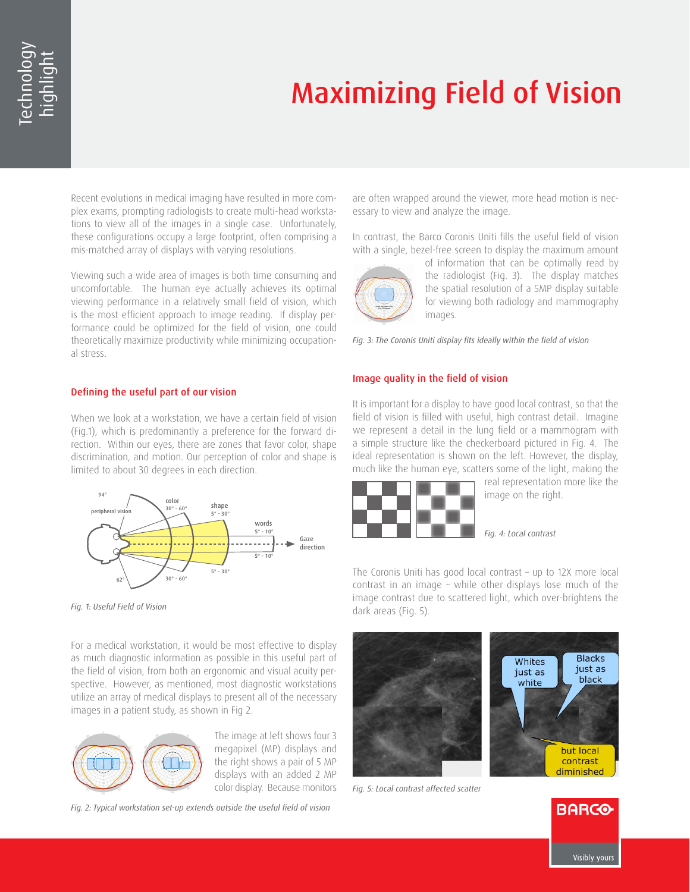# Maximizing Field of Vision

Recent evolutions in medical imaging have resulted in more complex exams, prompting radiologists to create multi-head workstations to view all of the images in a single case. Unfortunately, these configurations occupy a large footprint, often comprising a mis-matched array of displays with varying resolutions.

Viewing such a wide area of images is both time consuming and uncomfortable. The human eye actually achieves its optimal viewing performance in a relatively small field of vision, which is the most efficient approach to image reading. If display performance could be optimized for the field of vision, one could theoretically maximize productivity while minimizing occupational stress.

## Defining the useful part of our vision

When we look at a workstation, we have a certain field of vision (Fig.1), which is predominantly a preference for the forward direction. Within our eyes, there are zones that favor color, shape discrimination, and motion. Our perception of color and shape is limited to about 30 degrees in each direction.



*Fig. 1: Useful Field of Vision*

For a medical workstation, it would be most effective to display as much diagnostic information as possible in this useful part of the field of vision, from both an ergonomic and visual acuity perspective. However, as mentioned, most diagnostic workstations utilize an array of medical displays to present all of the necessary images in a patient study, as shown in Fig 2.



The image at left shows four 3 megapixel (MP) displays and the right shows a pair of 5 MP displays with an added 2 MP color display. Because monitors

*Fig. 2: Typical workstation set-up extends outside the useful field of vision* 

are often wrapped around the viewer, more head motion is necessary to view and analyze the image.

In contrast, the Barco Coronis Uniti fills the useful field of vision with a single, bezel-free screen to display the maximum amount



of information that can be optimally read by the radiologist (Fig. 3). The display matches the spatial resolution of a 5MP display suitable for viewing both radiology and mammography images.

*Fig. 3: The Coronis Uniti display fits ideally within the field of vision*

# Image quality in the field of vision

It is important for a display to have good local contrast, so that the field of vision is filled with useful, high contrast detail. Imagine we represent a detail in the lung field or a mammogram with a simple structure like the checkerboard pictured in Fig. 4. The ideal representation is shown on the left. However, the display, much like the human eye, scatters some of the light, making the



real representation more like the image on the right.

*Fig. 4: Local contrast*

The Coronis Uniti has good local contrast – up to 12X more local contrast in an image – while other displays lose much of the image contrast due to scattered light, which over-brightens the dark areas (Fig. 5).



*Fig. 5: Local contrast affected scatter*